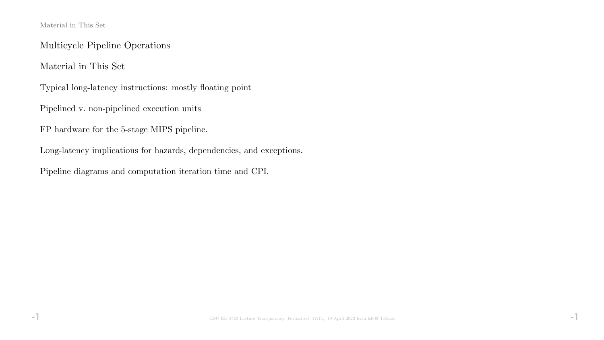### Material in This Set

Multicycle Pipeline Operations

Material in This Set

Typical long-latency instructions: mostly floating point

Pipelined v. non-pipelined execution units

FP hardware for the 5-stage MIPS pipeline.

Long-latency implications for hazards, dependencies, and exceptions.

Pipeline diagrams and computation iteration time and CPI.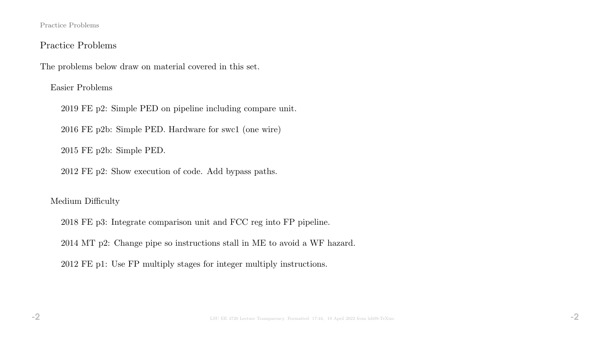### Practice Problems

## Practice Problems

The problems below draw on material covered in this set.

Easier Problems

2019 FE p2: Simple PED on pipeline including compare unit.

2016 FE p2b: Simple PED. Hardware for swc1 (one wire)

2015 FE p2b: Simple PED.

2012 FE p2: Show execution of code. Add bypass paths.

### Medium Difficulty

2018 FE p3: Integrate comparison unit and FCC reg into FP pipeline.

2014 MT p2: Change pipe so instructions stall in ME to avoid a WF hazard.

2012 FE p1: Use FP multiply stages for integer multiply instructions.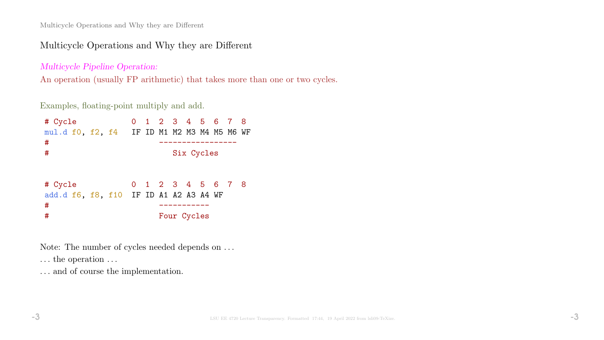## Multicycle Operations and Why they are Different

Multicycle Pipeline Operation:

An operation (usually FP arithmetic) that takes more than one or two cycles.

Examples, floating-point multiply and add.

| # Cycle<br>mul.d f0, f2, f4 IF ID M1 M2 M3 M4 M5 M6 WF      |  | 0 1 2 3 4 5 6 7 8                |            |  |  |
|-------------------------------------------------------------|--|----------------------------------|------------|--|--|
| #<br>#                                                      |  |                                  | Six Cycles |  |  |
| # Cycle<br>add.d f6, f8, f10 IF ID A1 A2 A3 A4 WF<br>#<br># |  | 0 1 2 3 4 5 6 7 8<br>Four Cycles |            |  |  |

Note: The number of cycles needed depends on . . .

 $\dots$  the operation  $\dots$ 

 $\ldots$  and of course the implementation.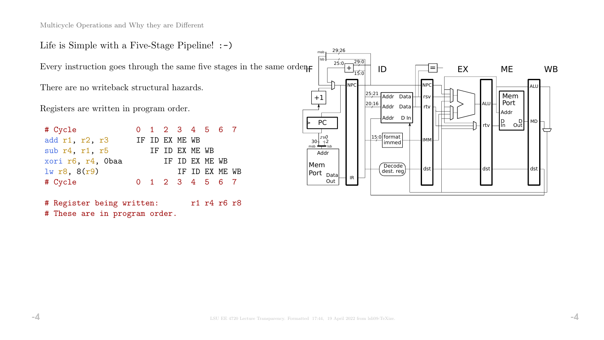Life is Simple with a Five-Stage Pipeline! :-)

Every instruction goes through the same five stages in the same order.

There are no writeback structural hazards.

Registers are written in program order.

| # Cycle           |  |                | 0 1 2 3 4 5 6 7 |  |
|-------------------|--|----------------|-----------------|--|
| add r1, r2, r3    |  | IF ID EX ME WB |                 |  |
| sub r4, r1, r5    |  | IF ID EX ME WB |                 |  |
| xori r6, r4, Obaa |  |                | IF ID EX ME WB  |  |
| $lw$ r8, $8(r9)$  |  |                | IF ID EX ME WB  |  |
| # Cycle           |  |                | 0 1 2 3 4 5 6 7 |  |

# Register being written: r1 r4 r6 r8 # These are in program order.

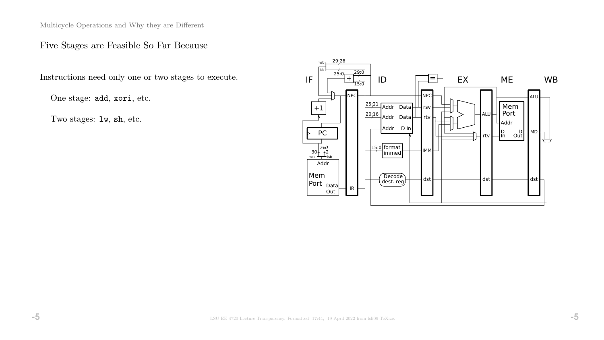## Five Stages are Feasible So Far Because

Instructions need only one or two stages to execute.

One stage: add, xori, etc.

Two stages: lw, sh, etc.

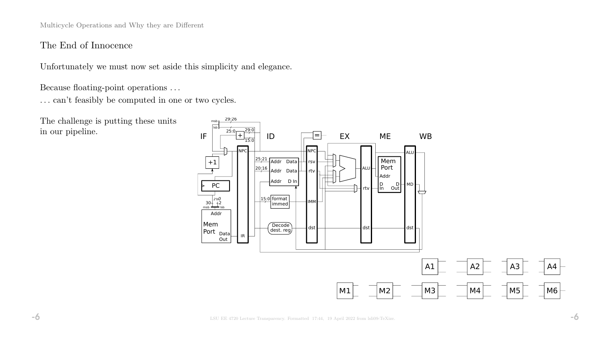## The End of Innocence

Unfortunately we must now set aside this simplicity and elegance.

Because floating-point operations . . .

 $\ldots$  can't feasibly be computed in one or two cycles.

The challenge is putting these units in our pipeline.

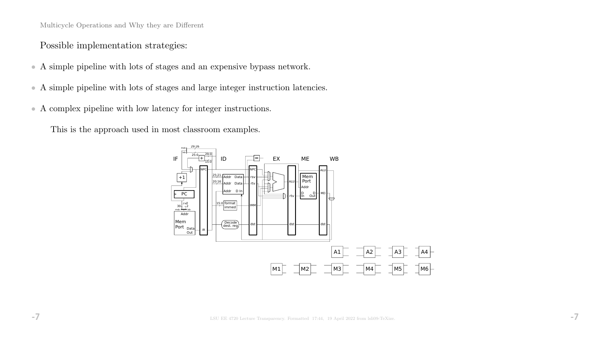Possible implementation strategies:

- A simple pipeline with lots of stages and an expensive bypass network.
- A simple pipeline with lots of stages and large integer instruction latencies.
- A complex pipeline with low latency for integer instructions.

This is the approach used in most classroom examples.

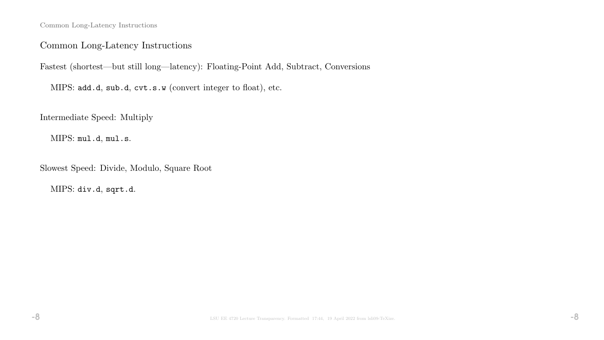Common Long-Latency Instructions

## Common Long-Latency Instructions

Fastest (shortest—but still long—latency): Floating-Point Add, Subtract, Conversions

MIPS: add.d, sub.d, cvt.s.w (convert integer to float), etc.

Intermediate Speed: Multiply

MIPS: mul.d, mul.s.

Slowest Speed: Divide, Modulo, Square Root

MIPS: div.d, sqrt.d.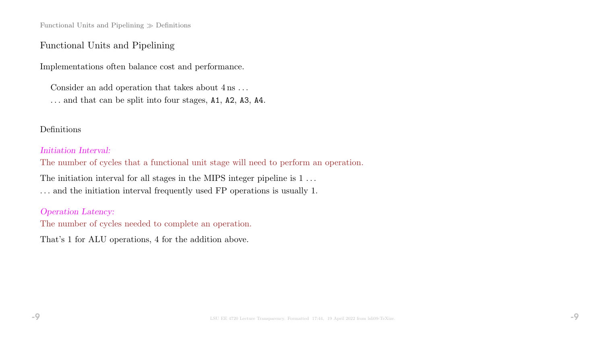Functional Units and Pipelining  $\gg$  Definitions

## Functional Units and Pipelining

Implementations often balance cost and performance.

Consider an add operation that takes about  $4 \text{ ns} \dots$ 

. . . and that can be split into four stages, A1, A2, A3, A4.

### Definitions

### Initiation Interval:

The number of cycles that a functional unit stage will need to perform an operation.

The initiation interval for all stages in the MIPS integer pipeline is 1... . . . and the initiation interval frequently used FP operations is usually 1.

### Operation Latency:

The number of cycles needed to complete an operation.

That's 1 for ALU operations, 4 for the addition above.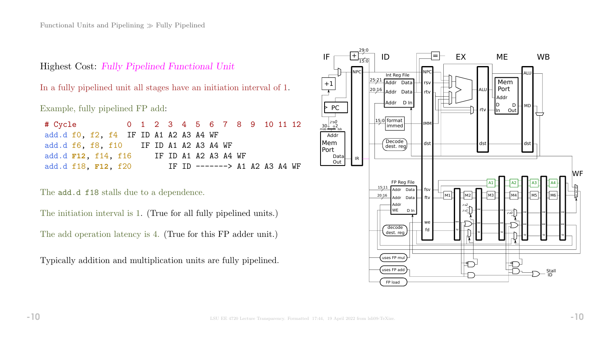Highest Cost: Fully Pipelined Functional Unit

In a fully pipelined unit all stages have an initiation interval of 1.

Example, fully pipelined FP add:

| # Cycle 0 1 2 3 4 5 6 7 8 9 10 11 12   |  |  |  |                      |                               |  |  |
|----------------------------------------|--|--|--|----------------------|-------------------------------|--|--|
| add.d f0, f2, f4 IF ID A1 A2 A3 A4 WF  |  |  |  |                      |                               |  |  |
| add.d f6, f8, f10 IF ID A1 A2 A3 A4 WF |  |  |  |                      |                               |  |  |
| add.d <b>F12</b> , f14, f16            |  |  |  | IF ID A1 A2 A3 A4 WF |                               |  |  |
| add.d f18, F12, f20                    |  |  |  |                      | IF ID $----->$ A1 A2 A3 A4 WF |  |  |

The **add.d** f18 stalls due to a dependence.

The initiation interval is 1. (True for all fully pipelined units.)

The add operation latency is 4. (True for this FP adder unit.)

Typically addition and multiplication units are fully pipelined.

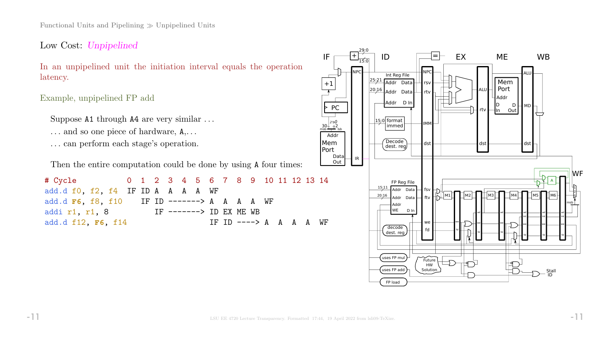Functional Units and Pipelining  $\gg$  Unpipelined Units

Low Cost: Unpipelined

In an unpipelined unit the initiation interval equals the operation latency.

Example, unpipelined FP add

Suppose A1 through A4 are very similar ...

- ... and so one piece of hardware,  $A, \ldots$
- . . . can perform each stage's operation.

Then the entire computation could be done by using A four times:

# Cycle 0 1 2 3 4 5 6 7 8 9 10 11 12 13 14 add.d f0, f2, f4 IF ID A A A A WF add.d **F6**, f8, f10 IF ID -------> A A A A WF addi r1, r1, 8 IF -------> ID EX ME WB add.d f12, F6, f14 IF ID ----> A A A A WF



+1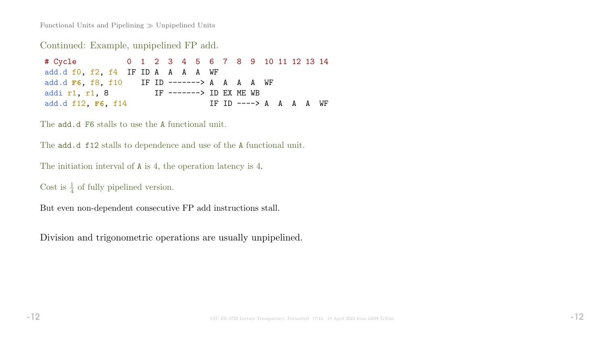Functional Units and Pipelining  $\gg$  Unpipelined Units

Continued: Example, unpipelined FP add.

# Cycle 0 1 2 3 4 5 6 7 8 9 10 11 12 13 14 add.d f0, f2, f4 IF ID A A A A WF add.d **F6**, f8, f10 IF ID -------> A A A A WF addi r1, r1, 8 IF -------> ID EX ME WB add.d f12, F6, f14 IF ID ----> A A A A WF

The **add.d F6** stalls to use the A functional unit.

The **add.d f12** stalls to dependence and use of the A functional unit.

```
The initiation interval of A is 4, the operation latency is 4.
```
Cost is  $\frac{1}{4}$  of fully pipelined version.

But even non-dependent consecutive FP add instructions stall.

Division and trigonometric operations are usually unpipelined.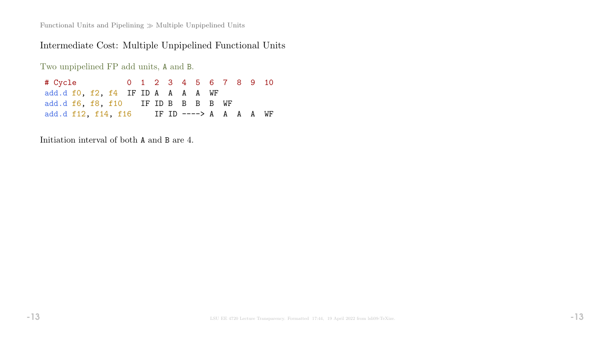Functional Units and Pipelining  $\gg$  Multiple Unpipelined Units

# Intermediate Cost: Multiple Unpipelined Functional Units

Two unpipelined FP add units, A and B.

| # Cycle the state of the state of the state of the state of the state of the state of the state of the state o |  |  |  | 0 1 2 3 4 5 6 7 8 9 10 |  |  |
|----------------------------------------------------------------------------------------------------------------|--|--|--|------------------------|--|--|
| add.d f0, f2, f4 IF ID A A A A WF                                                                              |  |  |  |                        |  |  |
| add.d f6, f8, f10 IF ID B B B B WF                                                                             |  |  |  |                        |  |  |
| add.d f12, f14, f16 IF ID ----> A A A A WF                                                                     |  |  |  |                        |  |  |

Initiation interval of both A and B are 4.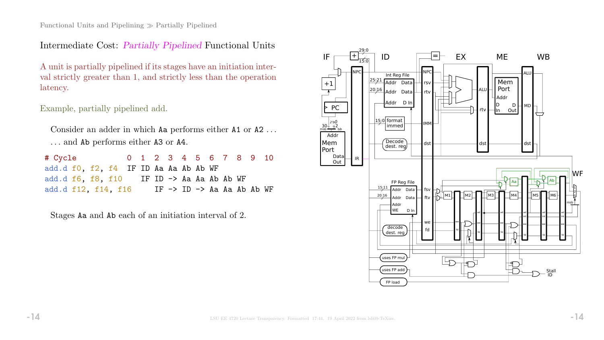Intermediate Cost: Partially Pipelined Functional Units

A unit is partially pipelined if its stages have an initiation interval strictly greater than 1, and strictly less than the operation latency.

Example, partially pipelined add.

Consider an adder in which Aa performs either A1 or A2 . . . . . . and Ab performs either A3 or A4.

| # Cycle                                                      | 0 1 2 3 4 5 6 7 8 9 10 |  |  |  |                            |  |
|--------------------------------------------------------------|------------------------|--|--|--|----------------------------|--|
| add.d f0, f2, f4 IF ID Aa Aa Ab Ab WF                        |                        |  |  |  |                            |  |
| add.d $f6$ , $f8$ , $f10$ IF ID $\rightarrow$ Aa Aa Ab Ab WF |                        |  |  |  |                            |  |
| add.d f12, f14, f16                                          |                        |  |  |  | IF −> ID −> Aa Aa Ab Ab WF |  |

Stages Aa and Ab each of an initiation interval of 2.

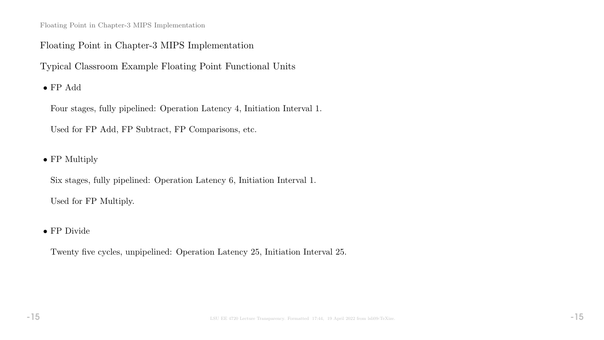Floating Point in Chapter-3 MIPS Implementation

## Floating Point in Chapter-3 MIPS Implementation

Typical Classroom Example Floating Point Functional Units

 $\bullet$  FP Add

Four stages, fully pipelined: Operation Latency 4, Initiation Interval 1.

Used for FP Add, FP Subtract, FP Comparisons, etc.

• FP Multiply

Six stages, fully pipelined: Operation Latency 6, Initiation Interval 1. Used for FP Multiply.

• FP Divide

Twenty five cycles, unpipelined: Operation Latency 25, Initiation Interval 25.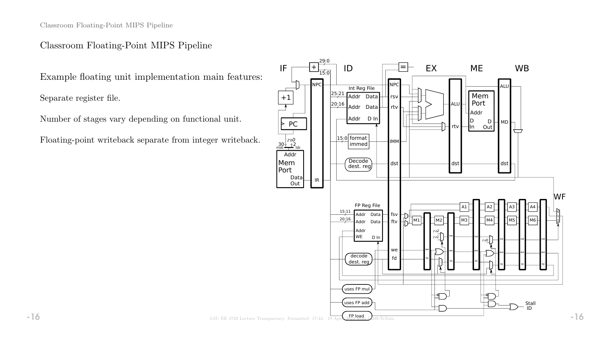Classroom Floating-Point MIPS Pipeline

## Classroom Floating-Point MIPS Pipeline

Example floating unit implementation main features:

Separate register file.

Number of stages vary depending on functional unit.

Floating-point writeback separate from integer writeback.

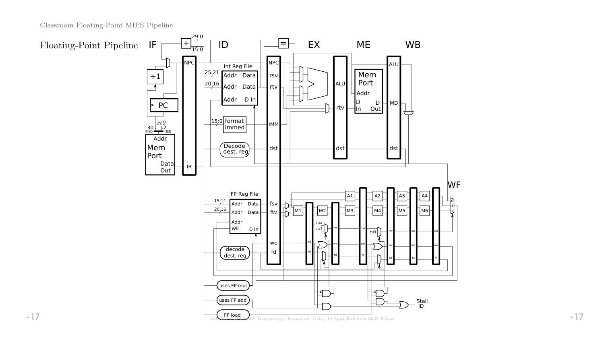Classroom Floating-Point MIPS Pipeline

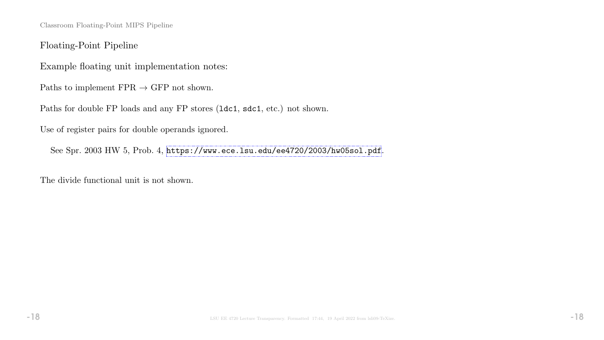Classroom Floating-Point MIPS Pipeline

Floating-Point Pipeline

Example floating unit implementation notes:

Paths to implement  $\text{FPR} \rightarrow \text{GFP}$  not shown.

Paths for double FP loads and any FP stores (ldc1, sdc1, etc.) not shown.

Use of register pairs for double operands ignored.

See Spr. 2003 HW 5, Prob. 4, <https://www.ece.lsu.edu/ee4720/2003/hw05sol.pdf>.

The divide functional unit is not shown.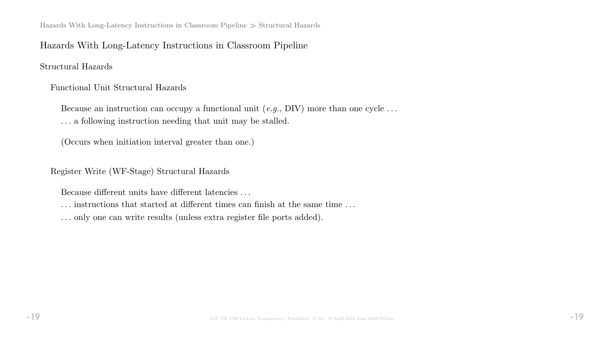Hazards With Long-Latency Instructions in Classroom Pipeline  $\gg$  Structural Hazards

## Hazards With Long-Latency Instructions in Classroom Pipeline

Structural Hazards

Functional Unit Structural Hazards

Because an instruction can occupy a functional unit  $(e.g., DIV)$  more than one cycle ... . . . a following instruction needing that unit may be stalled.

(Occurs when initiation interval greater than one.)

Register Write (WF-Stage) Structural Hazards

Because different units have different latencies . . .

. . . instructions that started at different times can finish at the same time . . .

. . . only one can write results (unless extra register file ports added).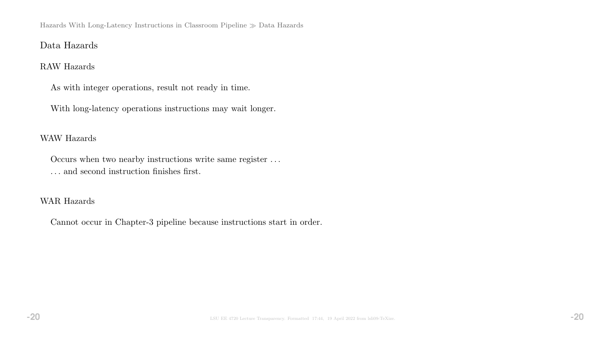Hazards With Long-Latency Instructions in Classroom Pipeline  $\gg$  Data Hazards

## Data Hazards

### RAW Hazards

As with integer operations, result not ready in time.

With long-latency operations instructions may wait longer.

### WAW Hazards

Occurs when two nearby instructions write same register . . . . . . and second instruction finishes first.

## WAR Hazards

Cannot occur in Chapter-3 pipeline because instructions start in order.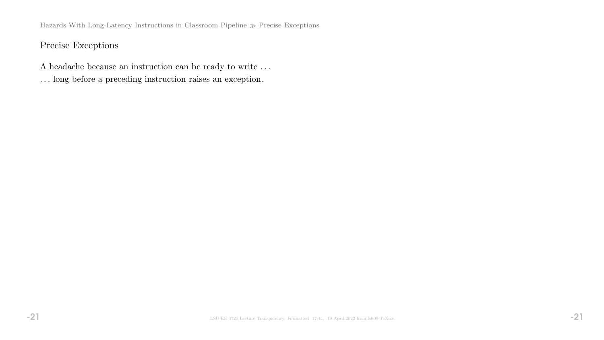Hazards With Long-Latency Instructions in Classroom Pipeline  $\gg$  Precise Exceptions

# Precise Exceptions

- A headache because an instruction can be ready to write . . .
- . . . long before a preceding instruction raises an exception.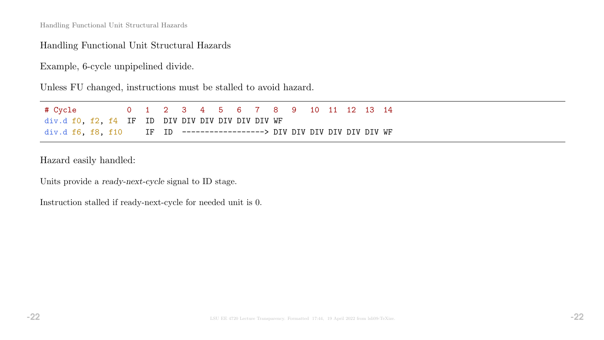## Handling Functional Unit Structural Hazards

Example, 6-cycle unpipelined divide.

Unless FU changed, instructions must be stalled to avoid hazard.

| # Cycle                                                                 |  | 0 1 2 3 4 5 6 7 8 9 10 11 12 13 14 |  |  |  |  |  |  |
|-------------------------------------------------------------------------|--|------------------------------------|--|--|--|--|--|--|
| div.d f0, f2, f4 IF ID DIV DIV DIV DIV DIV DIV WF                       |  |                                    |  |  |  |  |  |  |
| div.d f6, f8, f10 IF ID -------------------> DIV DIV DIV DIV DIV DIV WF |  |                                    |  |  |  |  |  |  |

Hazard easily handled:

Units provide a ready-next-cycle signal to ID stage.

Instruction stalled if ready-next-cycle for needed unit is 0.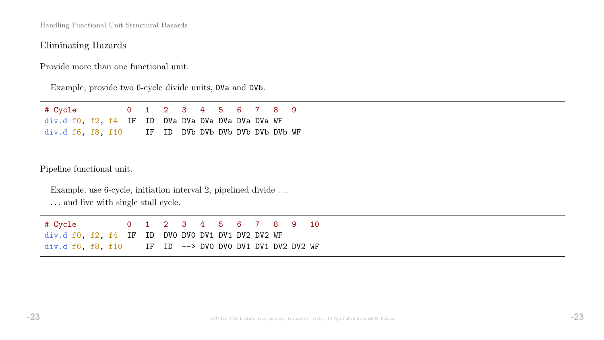# Eliminating Hazards

Provide more than one functional unit.

Example, provide two 6-cycle divide units, DVa and DVb.

| # Cycle                                            |  | 0 1 2 3 4 5 6 7 8 9 |  |  |  |  |
|----------------------------------------------------|--|---------------------|--|--|--|--|
| div.d f0, f2, f4 IF ID DVa DVa DVa DVa DVa DVa WF  |  |                     |  |  |  |  |
| div.d f6, f8, f10 IF ID DVb DVb DVb DVb DVb DVb WF |  |                     |  |  |  |  |

Pipeline functional unit.

| Example, use 6-cycle, initiation interval 2, pipelined divide |  |  |                                                                |  |  |  |
|---------------------------------------------------------------|--|--|----------------------------------------------------------------|--|--|--|
|                                                               |  |  | $\mathbf{r}$ , and a set of the set of the set of $\mathbf{r}$ |  |  |  |

... and live with single stall cycle.

| # Cycle                                                  |  |  |  |  |  | 0 1 2 3 4 5 6 7 8 9 10 |  |
|----------------------------------------------------------|--|--|--|--|--|------------------------|--|
| $div.df0$ , $f2$ , $f4$ IF ID DVO DVO DV1 DV1 DV2 DV2 WF |  |  |  |  |  |                        |  |
| $div.d$ f6, f8, f10 IF ID --> DVO DVO DV1 DV1 DV2 DV2 WF |  |  |  |  |  |                        |  |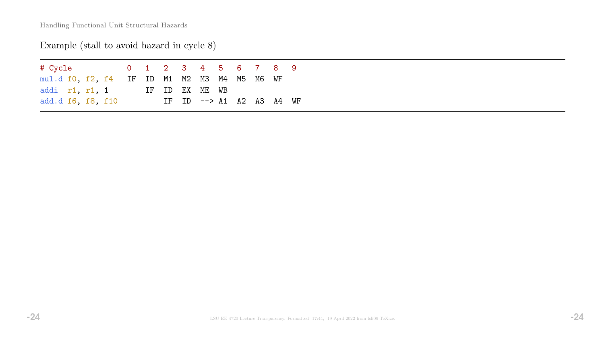# Example (stall to avoid hazard in cycle 8)

| # Cycle the state of the state of the state of the state of the state of the state of the state of the state o |  |  |  | 0 1 2 3 4 5 6 7 8 9               |  |  |  |
|----------------------------------------------------------------------------------------------------------------|--|--|--|-----------------------------------|--|--|--|
| mul.d f0, f2, f4 IF ID M1 M2 M3 M4 M5 M6 WF                                                                    |  |  |  |                                   |  |  |  |
| addi r1, r1, 1 IF ID EX ME WB                                                                                  |  |  |  |                                   |  |  |  |
| add.d f6, f8, f10                                                                                              |  |  |  | IF ID $\leftarrow$ A1 A2 A3 A4 WF |  |  |  |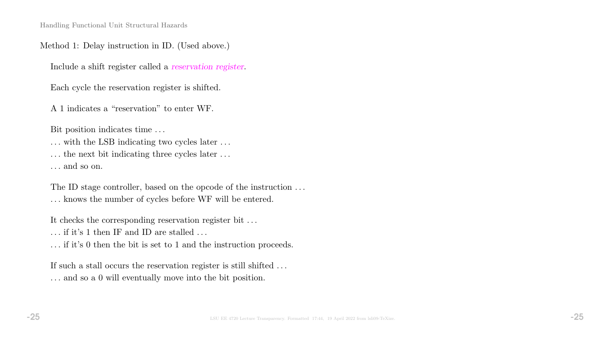### Method 1: Delay instruction in ID. (Used above.)

Include a shift register called a reservation register.

Each cycle the reservation register is shifted.

A 1 indicates a "reservation" to enter WF.

Bit position indicates time . . .

... with the LSB indicating two cycles later ...

... the next bit indicating three cycles later ...

. . . and so on.

The ID stage controller, based on the opcode of the instruction  $\dots$ . . . knows the number of cycles before WF will be entered.

It checks the corresponding reservation register bit . . .

 $\ldots$  if it's 1 then IF and ID are stalled  $\ldots$ 

. . . if it's 0 then the bit is set to 1 and the instruction proceeds.

If such a stall occurs the reservation register is still shifted ... . . . and so a 0 will eventually move into the bit position.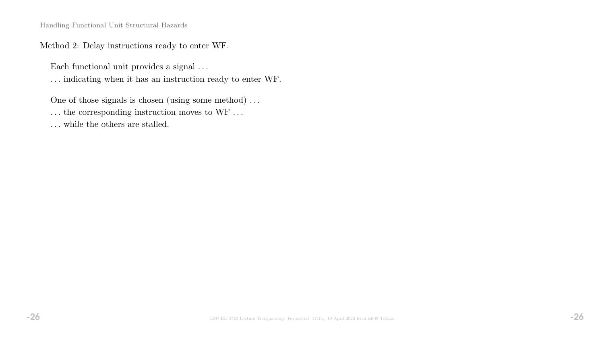Method 2: Delay instructions ready to enter WF.

Each functional unit provides a signal  $\ldots$ 

. . . indicating when it has an instruction ready to enter WF.

One of those signals is chosen (using some method) . . .

 $\ldots$  the corresponding instruction moves to WF  $\ldots$ 

 $\dots$  while the others are stalled.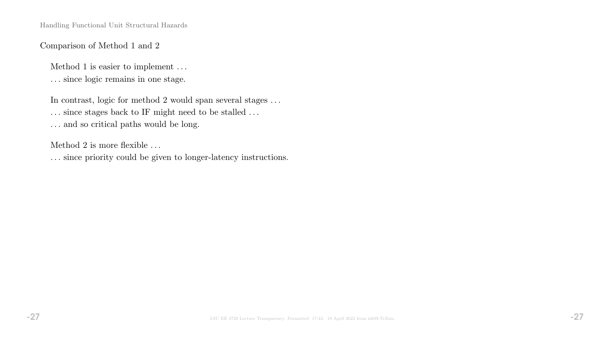## Comparison of Method 1 and 2

Method 1 is easier to implement . . .

. . . since logic remains in one stage.

In contrast, logic for method 2 would span several stages  $\dots$ 

 $\ldots$  since stages back to IF might need to be stalled  $\ldots$ 

 $\ldots$  and so critical paths would be long.

Method 2 is more flexible . . .

. . . since priority could be given to longer-latency instructions.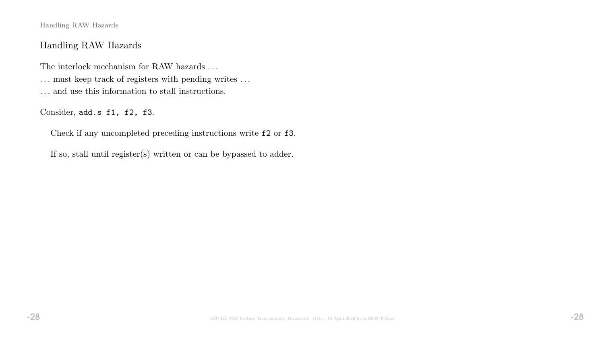Handling RAW Hazards

## Handling RAW Hazards

The interlock mechanism for RAW hazards  $\ldots$ . . . must keep track of registers with pending writes . . . . . . and use this information to stall instructions.

Consider, add.s f1, f2, f3.

Check if any uncompleted preceding instructions write f2 or f3.

If so, stall until register(s) written or can be bypassed to adder.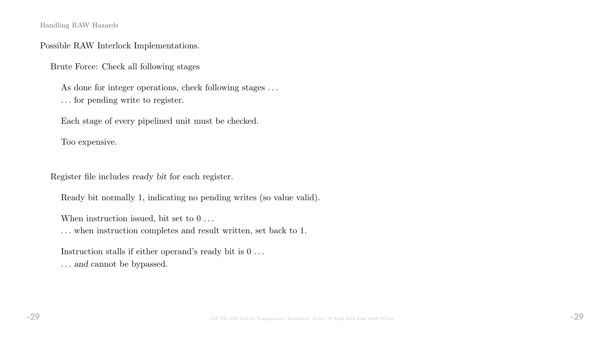Handling RAW Hazards

### Possible RAW Interlock Implementations.

Brute Force: Check all following stages

As done for integer operations, check following stages ... . . . for pending write to register.

Each stage of every pipelined unit must be checked.

Too expensive.

Register file includes ready bit for each register.

Ready bit normally 1, indicating no pending writes (so value valid).

When instruction issued, bit set to  $0 \ldots$ 

. . . when instruction completes and result written, set back to 1.

Instruction stalls if either operand's ready bit is  $0 \ldots$ . . . and cannot be bypassed.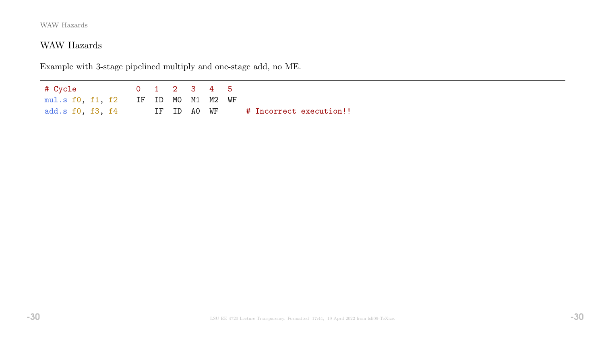# WAW Hazards

Example with 3-stage pipelined multiply and one-stage add, no ME.

# Cycle 0 1 2 3 4 5 mul.s f0, f1, f2 IF ID M0 M1 M2 WF add.s f0, f3, f4 IF ID A0 WF # Incorrect execution!!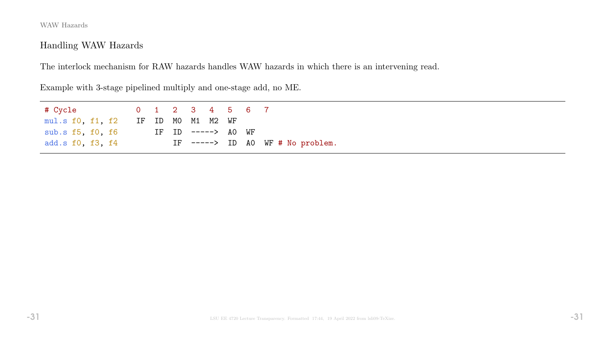# Handling WAW Hazards

The interlock mechanism for RAW hazards handles WAW hazards in which there is an intervening read.

Example with 3-stage pipelined multiply and one-stage add, no ME.

| mul.s f0, f1, f2 IF ID MO M1 M2 WF |  |  |                    |  |                                  |
|------------------------------------|--|--|--------------------|--|----------------------------------|
| sub.s f5, f0, f6                   |  |  | IF ID -----> AO WF |  |                                  |
| add.s f0, f3, f4                   |  |  |                    |  | IF $--->$ ID AO WF # No problem. |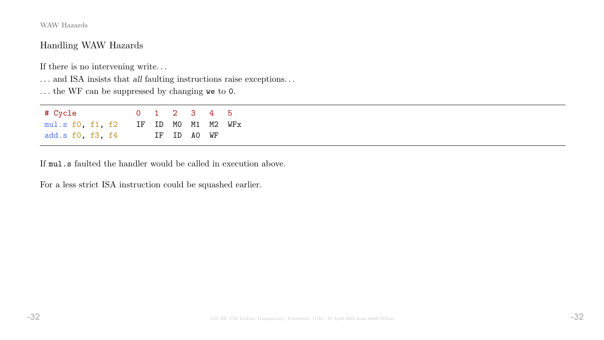## Handling WAW Hazards

If there is no intervening write.  $\ldots$ 

 $\ldots$  and ISA insists that  $all$  faulting instructions raise exceptions.  $\ldots$ 

. . . the WF can be suppressed by changing we to 0.

| # Cycle                             |  | 0 1 2 3 4 5 |  |  |
|-------------------------------------|--|-------------|--|--|
| mul.s f0, f1, f2 IF ID M0 M1 M2 WFx |  |             |  |  |
| add.s f0, f3, f4                    |  | IF ID AO WF |  |  |

If mul.s faulted the handler would be called in execution above.

For a less strict ISA instruction could be squashed earlier.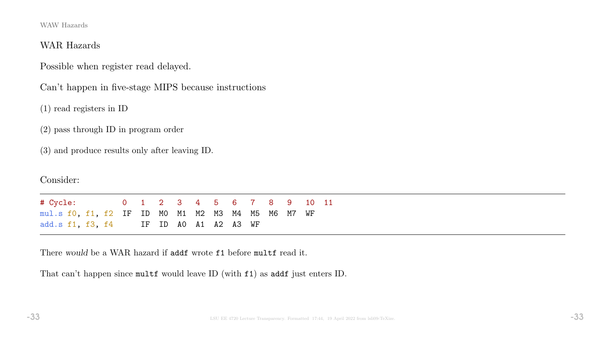### WAR Hazards

Possible when register read delayed.

Can't happen in five-stage MIPS because instructions

(1) read registers in ID

(2) pass through ID in program order

(3) and produce results only after leaving ID.

Consider:

# Cycle: 0 1 2 3 4 5 6 7 8 9 10 11 mul.s f0, f1, f2 IF ID M0 M1 M2 M3 M4 M5 M6 M7 WF add.s f1, f3, f4 IF ID A0 A1 A2 A3 WF

There would be a WAR hazard if addf wrote f1 before multf read it.

That can't happen since multf would leave ID (with f1) as addf just enters ID.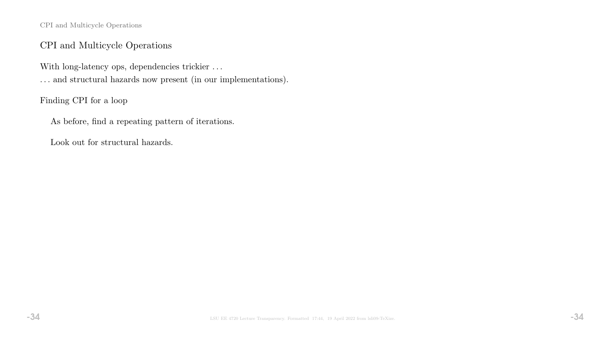CPI and Multicycle Operations

## CPI and Multicycle Operations

With long-latency ops, dependencies trickier ... . . . and structural hazards now present (in our implementations).

Finding CPI for a loop

As before, find a repeating pattern of iterations.

Look out for structural hazards.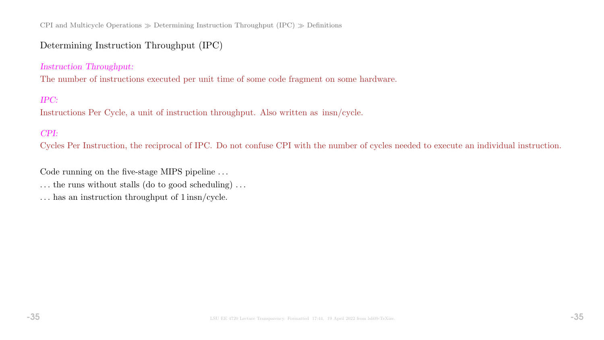CPI and Multicycle Operations  $\gg$  Determining Instruction Throughput (IPC)  $\gg$  Definitions

## Determining Instruction Throughput (IPC)

### Instruction Throughput:

The number of instructions executed per unit time of some code fragment on some hardware.

### IPC:

Instructions Per Cycle, a unit of instruction throughput. Also written as insn/cycle.

### CPI:

Cycles Per Instruction, the reciprocal of IPC. Do not confuse CPI with the number of cycles needed to execute an individual instruction.

Code running on the five-stage MIPS pipeline ...

 $\dots$  the runs without stalls (do to good scheduling)  $\dots$ 

. . . has an instruction throughput of 1 insn/cycle.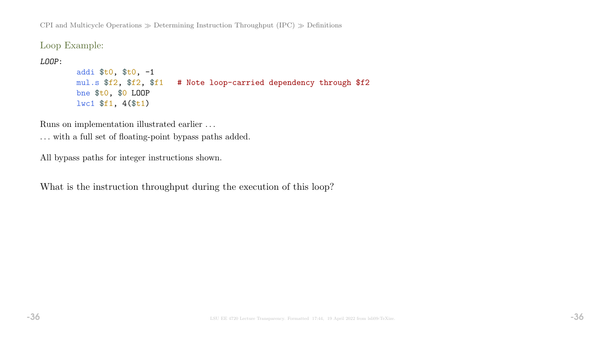CPI and Multicycle Operations  $\gg$  Determining Instruction Throughput (IPC)  $\gg$  Definitions

Loop Example:

LOOP:

```
addi $t0, $t0, -1
mul.s $f2, $f2, $f1 # Note loop-carried dependency through $f2
bne $t0, $0 LOOP
lwc1 $f1, 4($t1)
```
Runs on implementation illustrated earlier . . .

. . . with a full set of floating-point bypass paths added.

All bypass paths for integer instructions shown.

What is the instruction throughput during the execution of this loop?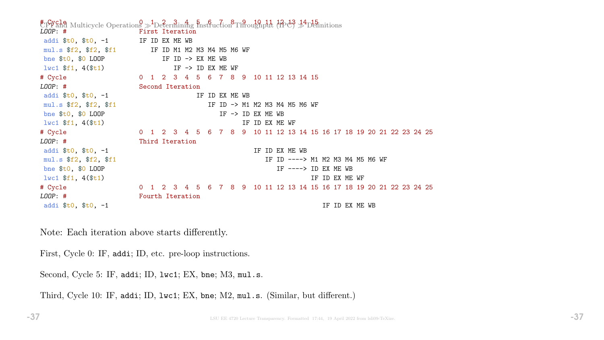$E_{\text{P}}^{\text{total}}$  Multicycle Operations  $\gg$  Determining  $\frac{1}{2}E_{\text{total}}^{\text{total}}$  and  $\frac{1}{2}E_{\text{total}}^{\text{total}}$   $\approx$   $\frac{1}{2}E_{\text{initial}}^{\text{total}}$ First Iteration addi  $t_0$ ,  $t_0$ ,  $-1$  IF ID EX ME WB mul.s \$f2, \$f2, \$f1 IF ID M1 M2 M3 M4 M5 M6 WF bne  $$t0$ ,  $$0$  LOOP IF ID -> EX ME WB  $l$ wc1  $f1$ , 4( $f1$ ) IF -> ID EX ME WF # Cycle 0 1 2 3 4 5 6 7 8 9 10 11 12 13 14 15 LOOP: # Second Iteration addi  $t_0$ ,  $t_0$ ,  $t_1$  is the set of  $\mathbb{R}$  IF ID EX ME WB mul.s  $$f2$ ,  $$f1$  IF ID -> M1 M2 M3 M4 M5 M6 WF bne  $$t0$ ,  $$0$  LOOP IF -> ID EX ME WB  $1\text{wcl } $f1, 4 ($t1)$  is the set of the set of the set of the set of the set of the set of the set of the set of the set of the set of the set of the set of the set of the set of the set of the set of the set of the set of # Cycle 0 1 2 3 4 5 6 7 8 9 10 11 12 13 14 15 16 17 18 19 20 21 22 23 24 25 LOOP: # Third Iteration addi  $t_0$ ,  $t_0$ ,  $t_1$  addi  $t_0$ ,  $t_1$  addi  $t_1$ ,  $t_1$ mul.s \$f2, \$f2, \$f1 15 and 10 and 10 and 10 and 10 and 10 and 10 and 10 and 10 and 10 and 10 and 10 and 10 and 1 bne  $$t0$ ,  $$0$  LOOP IF  $--->$  ID EX ME WB  $\frac{1}{10}$  is  $\frac{1}{10}$  if  $\frac{1}{10}$  if  $\frac{1}{10}$  if  $\frac{1}{10}$  if  $\frac{1}{10}$  EX ME WF # Cycle 0 1 2 3 4 5 6 7 8 9 10 11 12 13 14 15 16 17 18 19 20 21 22 23 24 25 LOOP: # Fourth Iteration addi  $$t0, $t0, -1$  IF ID EX ME WB

Note: Each iteration above starts differently.

First, Cycle 0: IF, addi; ID, etc. pre-loop instructions.

Second, Cycle 5: IF, addi; ID, 1wc1; EX, bne; M3, mul.s.

Third, Cycle 10: IF, addi; ID, lwc1; EX, bne; M2, mul.s. (Similar, but different.)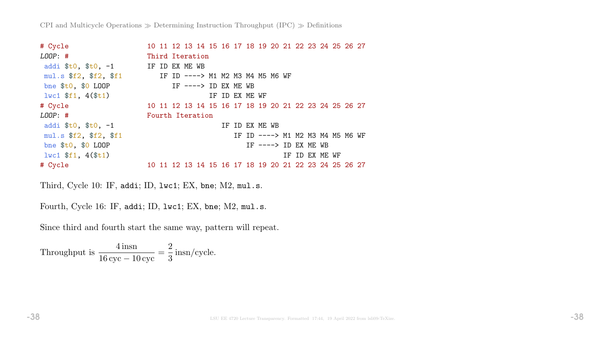| # Cycle                                              |                  |  | 10 11 12 13 14 15 16 17 18 19 20 21 22 23 24 25 26 27 |  |                |                                  |  |                |  |  |
|------------------------------------------------------|------------------|--|-------------------------------------------------------|--|----------------|----------------------------------|--|----------------|--|--|
| $LOOP:$ #                                            | Third Iteration  |  |                                                       |  |                |                                  |  |                |  |  |
| addi $$t0, $t0, -1$                                  | IF ID EX ME WB   |  |                                                       |  |                |                                  |  |                |  |  |
| mul.s $$f2$ , $$f1$ IF ID ----> M1 M2 M3 M4 M5 M6 WF |                  |  |                                                       |  |                |                                  |  |                |  |  |
| bne $$t0, $0$ LOOP                                   |                  |  | IF ----> ID EX ME WB                                  |  |                |                                  |  |                |  |  |
| $1wc1$ \$f1, $4$ (\$t1)                              |                  |  |                                                       |  | IF ID EX ME WF |                                  |  |                |  |  |
| # Cycle                                              |                  |  | 10 11 12 13 14 15 16 17 18 19 20 21 22 23 24 25 26 27 |  |                |                                  |  |                |  |  |
| $LOOP:$ #                                            | Fourth Iteration |  |                                                       |  |                |                                  |  |                |  |  |
| addi $$t0, $t0, -1$                                  |                  |  |                                                       |  | IF ID EX ME WB |                                  |  |                |  |  |
| mul.s \$f2, \$f2, \$f1                               |                  |  |                                                       |  |                | IF ID ----> M1 M2 M3 M4 M5 M6 WF |  |                |  |  |
| bne $$t0, $0$ LOOP                                   |                  |  |                                                       |  |                | IF $--->$ ID EX ME WB            |  |                |  |  |
| $1 w c 1 \$f1, 4(\$t1)$                              |                  |  |                                                       |  |                |                                  |  | IF ID EX ME WF |  |  |
| # Cycle                                              |                  |  | 10 11 12 13 14 15 16 17 18 19 20 21 22 23 24 25 26 27 |  |                |                                  |  |                |  |  |

Third, Cycle 10: IF, addi; ID, lwc1; EX, bne; M2, mul.s.

Fourth, Cycle 16: IF, addi; ID, lwc1; EX, bne; M2, mul.s.

Since third and fourth start the same way, pattern will repeat.

Throughput is  $\frac{4 \text{insn}}{16}$ 16 cyc − 10 cyc = 2 3 insn/cycle.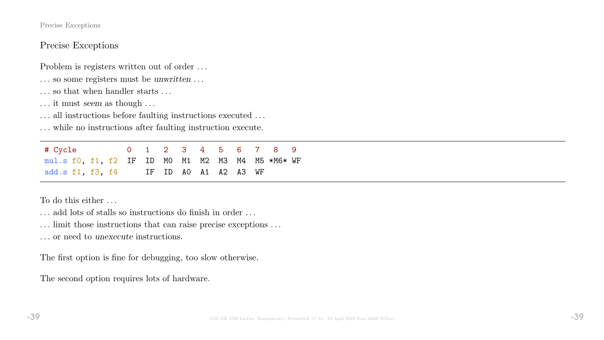#### Precise Exceptions

## Precise Exceptions

Problem is registers written out of order . . .

- . . . so some registers must be unwritten . . .
- . . . so that when handler starts . . .
- . . . it must seem as though . . .
- ... all instructions before faulting instructions executed ...

. . . while no instructions after faulting instruction execute.

# Cycle 0 1 2 3 4 5 6 7 8 9 mul.s f0, f1, f2 IF ID M0 M1 M2 M3 M4 M5 \*M6\* WF add.s f1, f3, f4 IF ID A0 A1 A2 A3 WF

To do this either . . .

. . . add lots of stalls so instructions do finish in order . . .

. . . limit those instructions that can raise precise exceptions . . .

. . . or need to unexecute instructions.

The first option is fine for debugging, too slow otherwise.

The second option requires lots of hardware.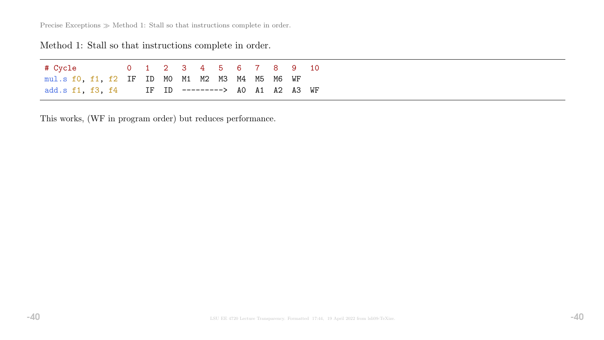Precise Exceptions  $\gg$  Method 1: Stall so that instructions complete in order.

# Method 1: Stall so that instructions complete in order.

| # Cycle                                          |  |  | 0 1 2 3 4 5 6 7 8 9 10 |  |  |  |
|--------------------------------------------------|--|--|------------------------|--|--|--|
| mul.s f0, f1, f2 IF ID M0 M1 M2 M3 M4 M5 M6 WF   |  |  |                        |  |  |  |
| add.s f1, f3, f4 IF ID ---------> A0 A1 A2 A3 WF |  |  |                        |  |  |  |

This works, (WF in program order) but reduces performance.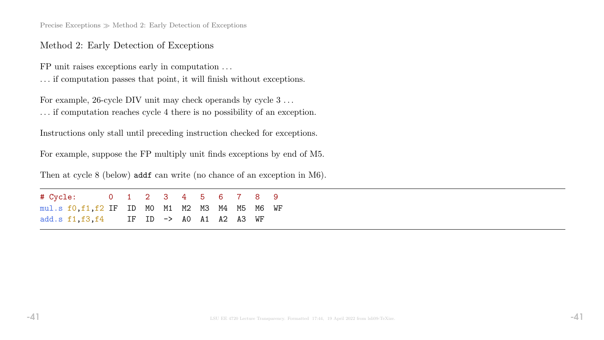Precise Exceptions  $\gg$  Method 2: Early Detection of Exceptions

### Method 2: Early Detection of Exceptions

FP unit raises exceptions early in computation . . .

. . . if computation passes that point, it will finish without exceptions.

For example, 26-cycle DIV unit may check operands by cycle  $3 \ldots$ . . . if computation reaches cycle 4 there is no possibility of an exception.

Instructions only stall until preceding instruction checked for exceptions.

For example, suppose the FP multiply unit finds exceptions by end of M5.

Then at cycle 8 (below) addf can write (no chance of an exception in M6).

# Cycle: 0 1 2 3 4 5 6 7 8 9 mul.s f0,f1,f2 IF ID M0 M1 M2 M3 M4 M5 M6 WF add.s f1,f3,f4 IF ID -> A0 A1 A2 A3 WF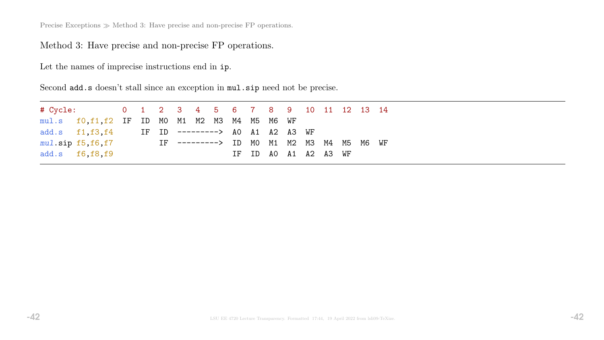Precise Exceptions  $\gg$  Method 3: Have precise and non-precise FP operations.

Method 3: Have precise and non-precise FP operations.

Let the names of imprecise instructions end in ip.

Second add.s doesn't stall since an exception in mul.sip need not be precise.

| # Cycle: 0 1 2 3 4 5 6 7 8 9 10 11 12 13 14      |  |                                                  |  |  |  |                      |  |  |  |
|--------------------------------------------------|--|--------------------------------------------------|--|--|--|----------------------|--|--|--|
| $mul.s$ fo, f1, f2 IF ID MO M1 M2 M3 M4 M5 M6 WF |  |                                                  |  |  |  |                      |  |  |  |
|                                                  |  | add.s f1, f3, f4 IF ID ---------> AO A1 A2 A3 WF |  |  |  |                      |  |  |  |
| $mul.\sip$ $f5,f6,f7$                            |  | IF ---------> ID MO M1 M2 M3 M4 M5 M6 WF         |  |  |  |                      |  |  |  |
| add.s f6, f8, f9                                 |  |                                                  |  |  |  | IF ID AO A1 A2 A3 WF |  |  |  |